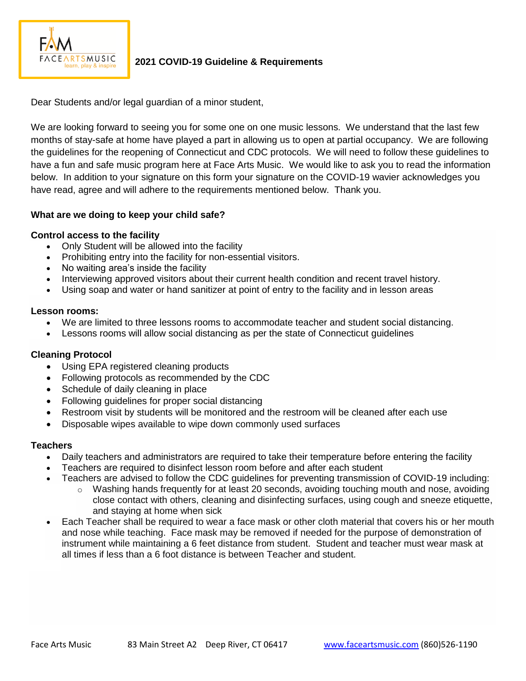

# **2021 COVID-19 Guideline & Requirements**

Dear Students and/or legal guardian of a minor student,

We are looking forward to seeing you for some one on one music lessons. We understand that the last few months of stay-safe at home have played a part in allowing us to open at partial occupancy. We are following the guidelines for the reopening of Connecticut and CDC protocols. We will need to follow these guidelines to have a fun and safe music program here at Face Arts Music. We would like to ask you to read the information below. In addition to your signature on this form your signature on the COVID-19 wavier acknowledges you have read, agree and will adhere to the requirements mentioned below. Thank you.

# **What are we doing to keep your child safe?**

# **Control access to the facility**

- Only Student will be allowed into the facility
- Prohibiting entry into the facility for non-essential visitors.
- No waiting area's inside the facility
- Interviewing approved visitors about their current health condition and recent travel history.
- Using soap and water or hand sanitizer at point of entry to the facility and in lesson areas

## **Lesson rooms:**

- We are limited to three lessons rooms to accommodate teacher and student social distancing.
- Lessons rooms will allow social distancing as per the state of Connecticut guidelines

# **Cleaning Protocol**

- Using EPA registered cleaning products
- Following protocols as recommended by the CDC
- Schedule of daily cleaning in place
- Following guidelines for proper social distancing
- Restroom visit by students will be monitored and the restroom will be cleaned after each use
- Disposable wipes available to wipe down commonly used surfaces

## **Teachers**

- Daily teachers and administrators are required to take their temperature before entering the facility
- Teachers are required to disinfect lesson room before and after each student
- Teachers are advised to follow the [CDC guidelines for preventing transmission of COVID-19](https://www.cdc.gov/coronavirus/2019-ncov/prevent-getting-sick/prevention.html) including:
	- $\circ$  Washing hands frequently for at least 20 seconds, avoiding touching mouth and nose, avoiding close contact with others, cleaning and disinfecting surfaces, using cough and sneeze etiquette, and staying at home when sick
- Each Teacher shall be required to wear a face mask or other cloth material that covers his or her mouth and nose while teaching. Face mask may be removed if needed for the purpose of demonstration of instrument while maintaining a 6 feet distance from student. Student and teacher must wear mask at all times if less than a 6 foot distance is between Teacher and student.